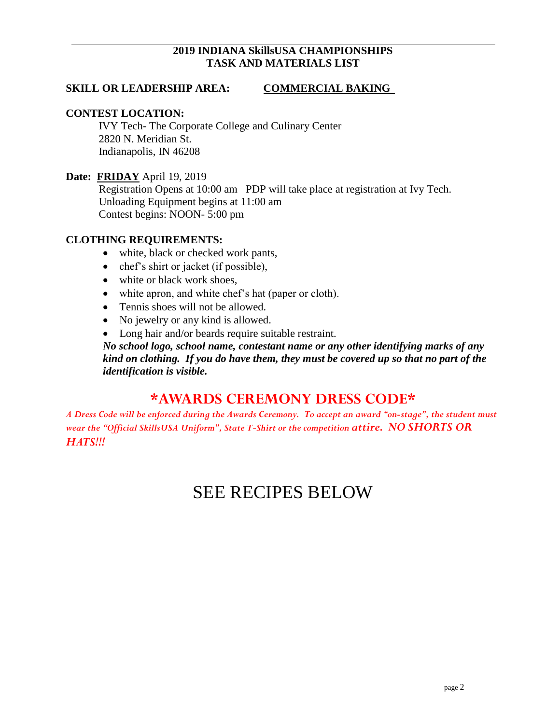#### **2019 INDIANA SkillsUSA CHAMPIONSHIPS TASK AND MATERIALS LIST**

#### **SKILL OR LEADERSHIP AREA: COMMERCIAL BAKING**

#### **CONTEST LOCATION:**

IVY Tech- The Corporate College and Culinary Center 2820 N. Meridian St. Indianapolis, IN 46208

#### **Date: FRIDAY** April 19, 2019

Registration Opens at 10:00 am PDP will take place at registration at Ivy Tech. Unloading Equipment begins at 11:00 am Contest begins: NOON- 5:00 pm

#### **CLOTHING REQUIREMENTS:**

- white, black or checked work pants,
- chef's shirt or jacket (if possible),
- white or black work shoes,
- white apron, and white chef's hat (paper or cloth).
- Tennis shoes will not be allowed.
- No jewelry or any kind is allowed.
- Long hair and/or beards require suitable restraint.

*No school logo, school name, contestant name or any other identifying marks of any kind on clothing. If you do have them, they must be covered up so that no part of the identification is visible.*

## **\*AWARDS CEREMONY DRESS CODE\***

*A Dress Code will be enforced during the Awards Ceremony. To accept an award "on-stage", the student must wear the "Official SkillsUSA Uniform", State T-Shirt or the competition attire. NO SHORTS OR HATS!!!*

# SEE RECIPES BELOW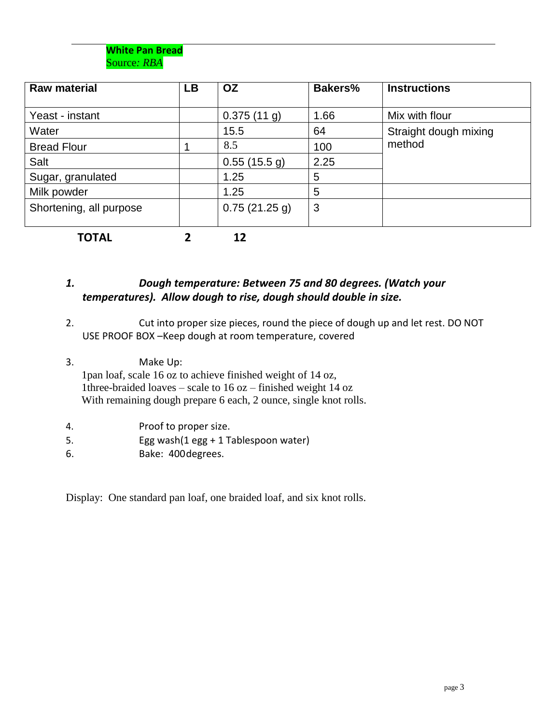

| <b>Raw material</b>     | <b>LB</b> | <b>OZ</b>   | <b>Bakers%</b> | <b>Instructions</b>   |
|-------------------------|-----------|-------------|----------------|-----------------------|
|                         |           |             |                |                       |
| Yeast - instant         |           | 0.375(11 g) | 1.66           | Mix with flour        |
| Water                   |           | 15.5        | 64             | Straight dough mixing |
| <b>Bread Flour</b>      |           | 8.5         | 100            | method                |
| Salt                    |           | 0.55(15.5g) | 2.25           |                       |
| Sugar, granulated       |           | 1.25        | 5              |                       |
| Milk powder             |           | 1.25        | 5              |                       |
| Shortening, all purpose |           | 0.75(21.25) | 3              |                       |
| <b>TOTAL</b>            |           | 12          |                |                       |

#### *1. Dough temperature: Between 75 and 80 degrees. (Watch your temperatures). Allow dough to rise, dough should double in size.*

- 2. Cut into proper size pieces, round the piece of dough up and let rest. DO NOT USE PROOF BOX –Keep dough at room temperature, covered
- 3. Make Up: 1pan loaf, scale 16 oz to achieve finished weight of 14 oz, 1three-braided loaves – scale to 16 oz – finished weight 14 oz With remaining dough prepare 6 each, 2 ounce, single knot rolls.
- 4. Proof to proper size.
- 5. Egg wash(1 egg + 1 Tablespoon water)
- 6. Bake: 400degrees.

Display: One standard pan loaf, one braided loaf, and six knot rolls.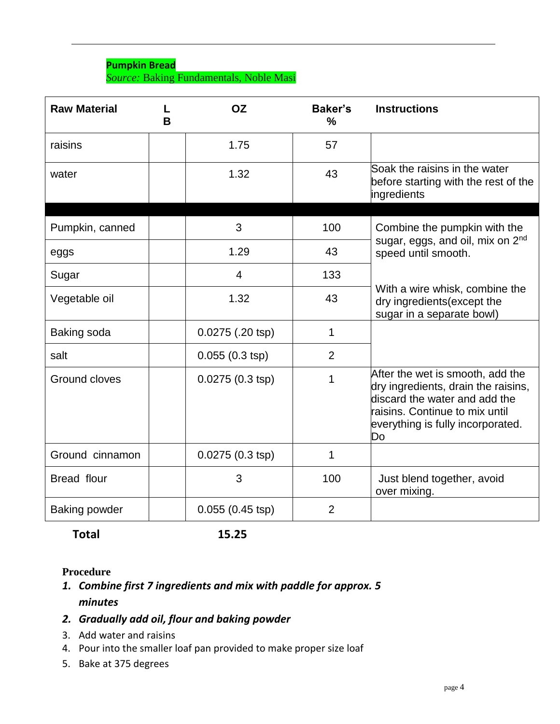#### **Pumpkin Bread** *Source:* Baking Fundamentals, Noble Masi

| <b>Raw Material</b>  | B | <b>OZ</b>                 | <b>Baker's</b><br>$\frac{0}{0}$ | <b>Instructions</b>                                                                                                                                                                   |
|----------------------|---|---------------------------|---------------------------------|---------------------------------------------------------------------------------------------------------------------------------------------------------------------------------------|
| raisins              |   | 1.75                      | 57                              |                                                                                                                                                                                       |
| water                |   | 1.32                      | 43                              | Soak the raisins in the water<br>before starting with the rest of the<br>ingredients                                                                                                  |
|                      |   |                           |                                 |                                                                                                                                                                                       |
| Pumpkin, canned      |   | 3                         | 100                             | Combine the pumpkin with the                                                                                                                                                          |
| eggs                 |   | 1.29                      | 43                              | sugar, eggs, and oil, mix on 2 <sup>nd</sup><br>speed until smooth.                                                                                                                   |
| Sugar                |   | 4                         | 133                             |                                                                                                                                                                                       |
| Vegetable oil        |   | 1.32                      | 43                              | With a wire whisk, combine the<br>dry ingredients (except the<br>sugar in a separate bowl)                                                                                            |
| Baking soda          |   | 0.0275 (.20 tsp)          | $\mathbf 1$                     |                                                                                                                                                                                       |
| salt                 |   | $0.055(0.3 \text{ tsp})$  | $\overline{2}$                  |                                                                                                                                                                                       |
| Ground cloves        |   | $0.0275(0.3 \text{ tsp})$ | 1                               | After the wet is smooth, add the<br>dry ingredients, drain the raisins,<br>discard the water and add the<br>raisins. Continue to mix until<br>everything is fully incorporated.<br>Do |
| Ground cinnamon      |   | $0.0275(0.3 \text{ tsp})$ | 1                               |                                                                                                                                                                                       |
| Bread flour          |   | 3                         | 100                             | Just blend together, avoid<br>over mixing.                                                                                                                                            |
| <b>Baking powder</b> |   | $0.055(0.45 \text{ tsp})$ | $\overline{2}$                  |                                                                                                                                                                                       |

**Total 15.25**

#### **Procedure**

*1. Combine first 7 ingredients and mix with paddle for approx. 5 minutes*

## *2. Gradually add oil, flour and baking powder*

- 3. Add water and raisins
- 4. Pour into the smaller loaf pan provided to make proper size loaf
- 5. Bake at 375 degrees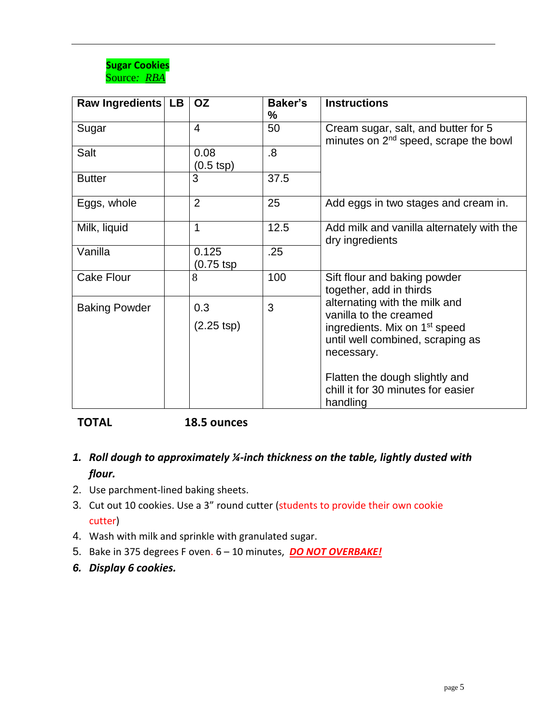

| Raw Ingredients   LB | <b>OZ</b>                   | <b>Baker's</b><br>% | <b>Instructions</b>                                                                                                                                                                                                                        |
|----------------------|-----------------------------|---------------------|--------------------------------------------------------------------------------------------------------------------------------------------------------------------------------------------------------------------------------------------|
| Sugar                | $\overline{4}$              | 50                  | Cream sugar, salt, and butter for 5<br>minutes on 2 <sup>nd</sup> speed, scrape the bowl                                                                                                                                                   |
| Salt                 | 0.08<br>$(0.5$ tsp)         | 8.5                 |                                                                                                                                                                                                                                            |
| <b>Butter</b>        | 3                           | 37.5                |                                                                                                                                                                                                                                            |
| Eggs, whole          | $\overline{2}$              | 25                  | Add eggs in two stages and cream in.                                                                                                                                                                                                       |
| Milk, liquid         | 1                           | 12.5                | Add milk and vanilla alternately with the<br>dry ingredients                                                                                                                                                                               |
| Vanilla              | 0.125<br>(0.75 tsp          | .25                 |                                                                                                                                                                                                                                            |
| <b>Cake Flour</b>    | 8                           | 100                 | Sift flour and baking powder<br>together, add in thirds                                                                                                                                                                                    |
| <b>Baking Powder</b> | 0.3<br>$(2.25 \text{ tsp})$ | 3                   | alternating with the milk and<br>vanilla to the creamed<br>ingredients. Mix on 1 <sup>st</sup> speed<br>until well combined, scraping as<br>necessary.<br>Flatten the dough slightly and<br>chill it for 30 minutes for easier<br>handling |

## **TOTAL 18.5 ounces**

## *1. Roll dough to approximately ¼-inch thickness on the table, lightly dusted with flour.*

- 2. Use parchment-lined baking sheets.
- 3. Cut out 10 cookies. Use a 3" round cutter (students to provide their own cookie cutter)
- 4. Wash with milk and sprinkle with granulated sugar.
- 5. Bake in 375 degrees F oven. 6 10 minutes, *DO NOT OVERBAKE!*
- *6. Display 6 cookies.*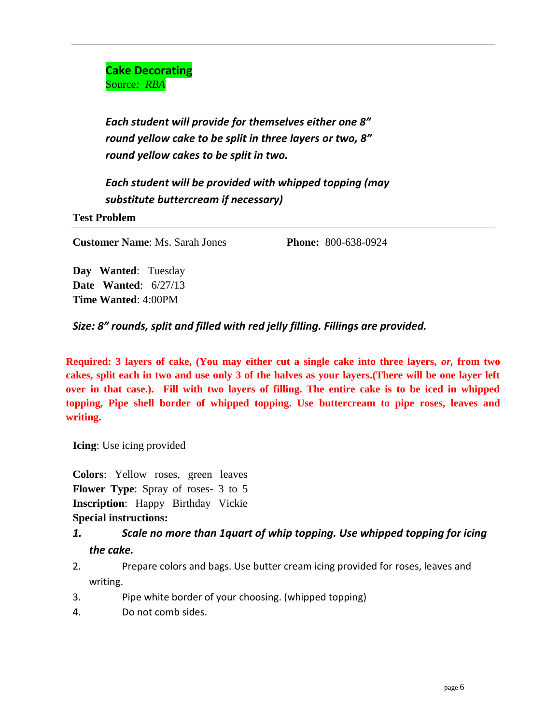**Cake Decorating** Source*: RBA*

*Each student will provide for themselves either one 8" round yellow cake to be split in three layers or two, 8" round yellow cakes to be split in two.*

*Each student will be provided with whipped topping (may substitute buttercream if necessary)*

**Test Problem**

**Customer Name**: Ms. Sarah Jones **Phone:** 800-638-0924

**Day Wanted**: Tuesday **Date Wanted**: 6/27/13 **Time Wanted**: 4:00PM

*Size: 8" rounds, split and filled with red jelly filling. Fillings are provided.*

**Required: 3 layers of cake, (You may either cut a single cake into three layers,** *or,* **from two cakes, split each in two and use only 3 of the halves as your layers.(There will be one layer left over in that case.). Fill with two layers of filling. The entire cake is to be iced in whipped topping, Pipe shell border of whipped topping. Use buttercream to pipe roses, leaves and writing.** 

**Icing**: Use icing provided

**Colors**: Yellow roses, green leaves **Flower Type**: Spray of roses- 3 to 5 **Inscription**: Happy Birthday Vickie **Special instructions:**

#### *1. Scale no more than 1quart of whip topping. Use whipped topping for icing the cake.*

- 2. Prepare colors and bags. Use butter cream icing provided for roses, leaves and writing.
- 3. Pipe white border of your choosing. (whipped topping)
- 4. Do not comb sides.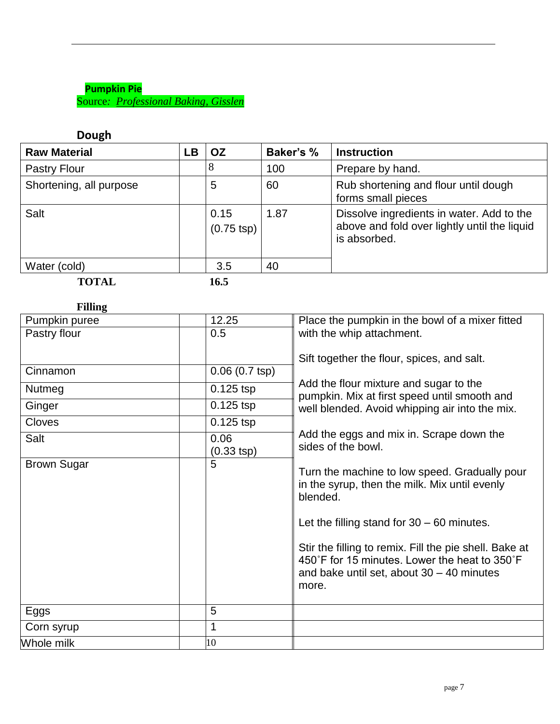#### **Pumpkin Pie** Source*: Professional Baking, Gisslen*

#### **Dough**

| <b>Raw Material</b>     | LВ | <b>OZ</b>                    | <b>Baker's %</b> | <b>Instruction</b>                                                                                        |
|-------------------------|----|------------------------------|------------------|-----------------------------------------------------------------------------------------------------------|
| Pastry Flour            |    | 8                            | 100              | Prepare by hand.                                                                                          |
| Shortening, all purpose |    | 5                            | 60               | Rub shortening and flour until dough<br>forms small pieces                                                |
| Salt                    |    | 0.15<br>$(0.75 \text{ tsp})$ | 1.87             | Dissolve ingredients in water. Add to the<br>above and fold over lightly until the liquid<br>is absorbed. |
| Water (cold)            |    | 3.5                          | 40               |                                                                                                           |
| <b>TOTAL</b>            |    | 16.5                         |                  |                                                                                                           |

## **Filling**

| Pumpkin puree      | 12.25                   | Place the pumpkin in the bowl of a mixer fitted                                                                                                                                                                                                                                                                               |
|--------------------|-------------------------|-------------------------------------------------------------------------------------------------------------------------------------------------------------------------------------------------------------------------------------------------------------------------------------------------------------------------------|
| Pastry flour       | 0.5                     | with the whip attachment.                                                                                                                                                                                                                                                                                                     |
|                    |                         |                                                                                                                                                                                                                                                                                                                               |
|                    |                         | Sift together the flour, spices, and salt.                                                                                                                                                                                                                                                                                    |
| Cinnamon           | $0.06(0.7 \text{ tsp})$ |                                                                                                                                                                                                                                                                                                                               |
| <b>Nutmeg</b>      | $0.125$ tsp             | Add the flour mixture and sugar to the<br>pumpkin. Mix at first speed until smooth and                                                                                                                                                                                                                                        |
| Ginger             | $0.125$ tsp             | well blended. Avoid whipping air into the mix.                                                                                                                                                                                                                                                                                |
| <b>Cloves</b>      | $0.125$ tsp             |                                                                                                                                                                                                                                                                                                                               |
| Salt               | 0.06                    | Add the eggs and mix in. Scrape down the                                                                                                                                                                                                                                                                                      |
|                    | (0.33 tsp)              | sides of the bowl.                                                                                                                                                                                                                                                                                                            |
| <b>Brown Sugar</b> | 5                       | Turn the machine to low speed. Gradually pour<br>in the syrup, then the milk. Mix until evenly<br>blended.<br>Let the filling stand for $30 - 60$ minutes.<br>Stir the filling to remix. Fill the pie shell. Bake at<br>450°F for 15 minutes. Lower the heat to 350°F<br>and bake until set, about $30 - 40$ minutes<br>more. |
| Eggs               | 5                       |                                                                                                                                                                                                                                                                                                                               |
| Corn syrup         | 1                       |                                                                                                                                                                                                                                                                                                                               |
| Whole milk         | 10                      |                                                                                                                                                                                                                                                                                                                               |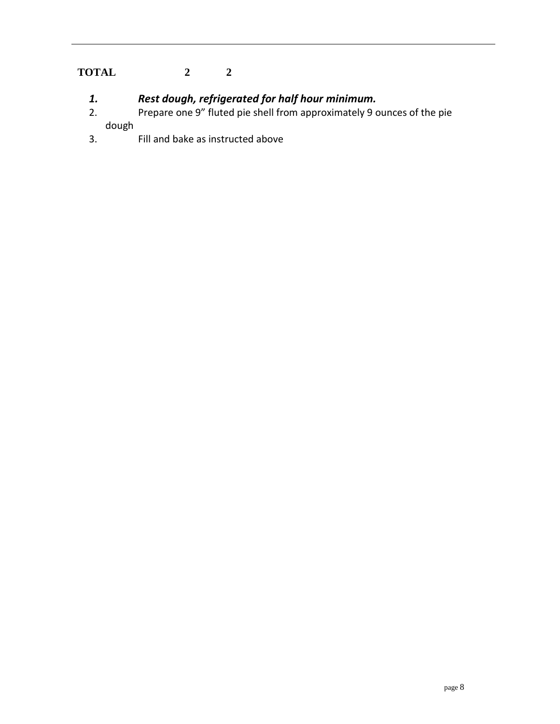## **TOTAL 2 2**

- *1. Rest dough, refrigerated for half hour minimum.*
- 2. Prepare one 9" fluted pie shell from approximately 9 ounces of the pie dough
- 3. Fill and bake as instructed above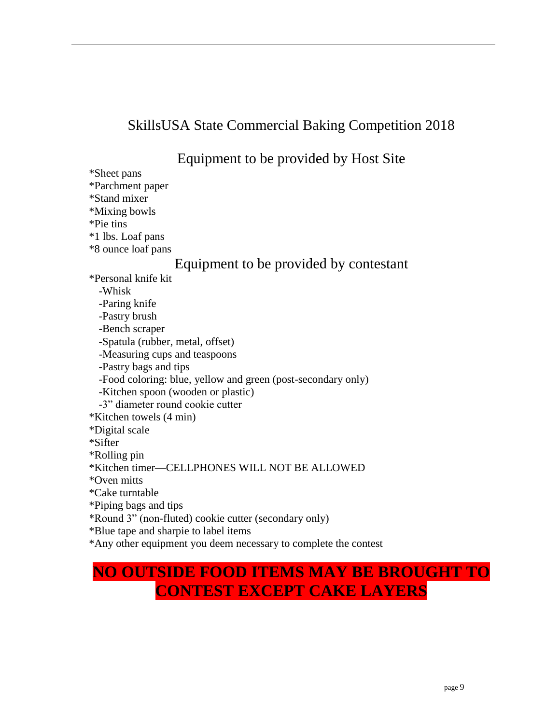# SkillsUSA State Commercial Baking Competition 2018

# Equipment to be provided by Host Site

\*Sheet pans \*Parchment paper \*Stand mixer \*Mixing bowls \*Pie tins \*1 lbs. Loaf pans \*8 ounce loaf pans

## Equipment to be provided by contestant

\*Personal knife kit

-Whisk -Paring knife -Pastry brush -Bench scraper -Spatula (rubber, metal, offset) -Measuring cups and teaspoons -Pastry bags and tips -Food coloring: blue, yellow and green (post-secondary only) -Kitchen spoon (wooden or plastic) -3" diameter round cookie cutter \*Kitchen towels (4 min) \*Digital scale \*Sifter \*Rolling pin \*Kitchen timer—CELLPHONES WILL NOT BE ALLOWED \*Oven mitts \*Cake turntable \*Piping bags and tips \*Round 3" (non-fluted) cookie cutter (secondary only) \*Blue tape and sharpie to label items \*Any other equipment you deem necessary to complete the contest

# **NO OUTSIDE FOOD ITEMS MAY BE BROUGHT TO CONTEST EXCEPT CAKE LAYERS**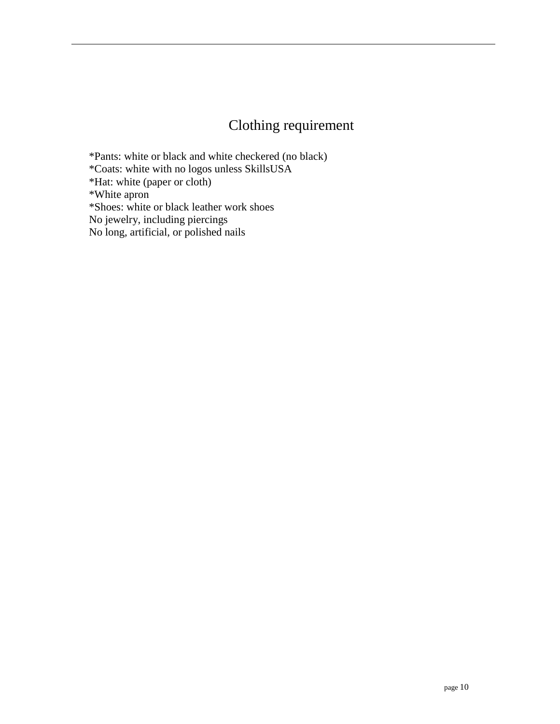# Clothing requirement

\*Pants: white or black and white checkered (no black) \*Coats: white with no logos unless SkillsUSA \*Hat: white (paper or cloth) \*White apron \*Shoes: white or black leather work shoes No jewelry, including piercings No long, artificial, or polished nails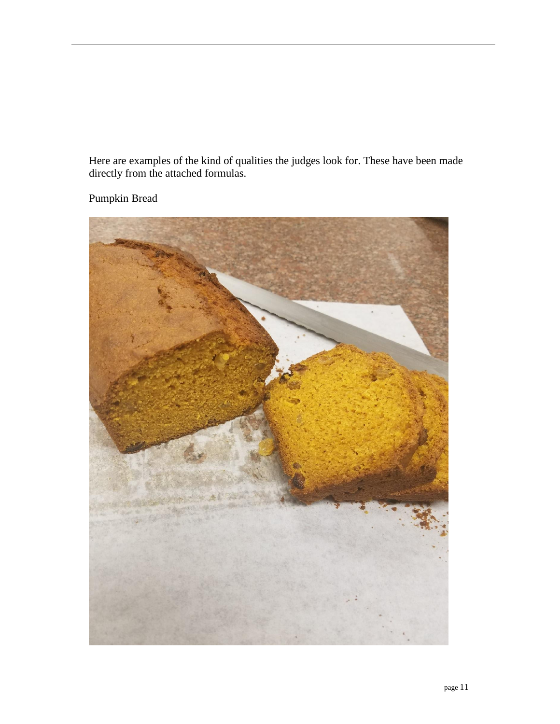Here are examples of the kind of qualities the judges look for. These have been made directly from the attached formulas.



Pumpkin Bread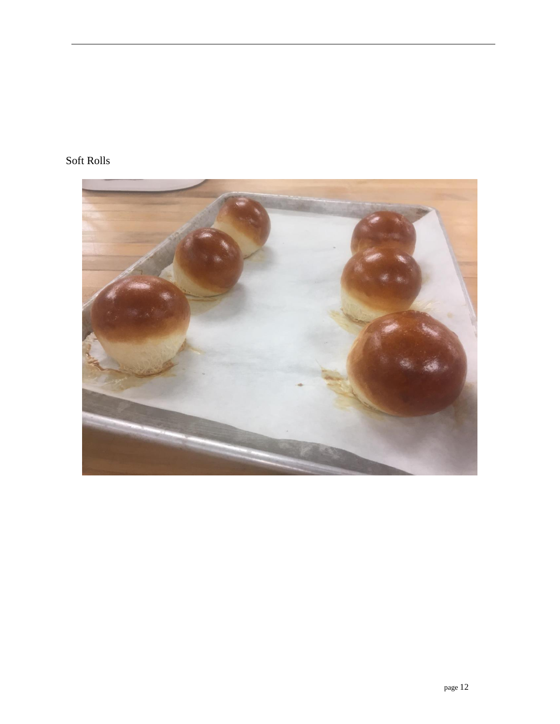## Soft Rolls